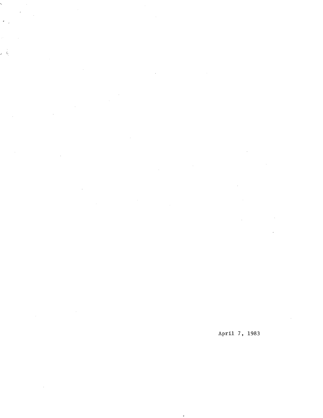$\overline{\phantom{a}}$  $\frac{1}{\sqrt{2}}$  $\mathbf{y} = \frac{1}{2}$  $\sim 10^{11}$  $\sim$   $\sim$ 

 $\overline{\phantom{0}}$ 

 $\hat{\rho}$  .

 $\sim$ 

 $\mathcal{L}^{\text{max}}_{\text{max}}$  and  $\mathcal{L}^{\text{max}}_{\text{max}}$  $\hat{\boldsymbol{\beta}}$  $\mathcal{A}^{\prime}$ 

 $\sim$  $\sim 10$  $\mathcal{L}_{\mathrm{eff}}$  $\hat{\mathcal{A}}$  $\sim$   $\sim$ 

 $\sim 10^7$  $\sim$ 

 $\ddot{\phantom{0}}$ 

April 7, 1983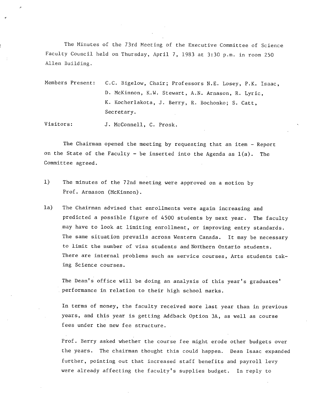The Minutes of the 73rd Meeting of the Executive Committee of Science Faculty Council held on Thursday, April 7, 1983 at 3:30 p.m. in room 250 Allen Building.

Members Present: C.C. Bigelow, Chair; Professors N.E. Losey, P.K. Isaac, D. McKinnon, K.W. Stewart, A.N. Arnason, R. Lyric, K. Kocherlakota, J. Berry, R. Bochonko; S. Catt, Secretary.

Visitors: J. McConnell, C. Prosk.

The Chairman opened the meeting by requesting that an item - Report on the State of the Faculty - be inserted into the Agenda as  $1(a)$ . The Committee agreed.

- 1) The minutes of the 72nd meeting were approved on a motion by Prof. Arnason (McKinnon).
- la) The Chairman advised that enrollments were again increasing and predicted a possible figure of 4500 students by next year. The faculty may have to look at limiting enrollment, or improving entry standards. The same situation prevails across Western Canada. It may be necessary to limit the number of visa students and Northern Ontario students. There are internal problems such as service courses, Arts students taking Science courses.

The Dean's office will be doing an analysis of this year's graduates' performance in relation to their high school marks.

In terms of money, the faculty received more last year than in previous years, and this year is getting Addback Option 3A, as well as course fees under the new fee structure.

Prof. Berry asked whether the course fee might erode other budgets over the years. The chairman thought this could happen. Dean Isaac expanded further, pointing out that increased staff benefits and payroll levy were already affecting the faculty's supplies budget. In reply to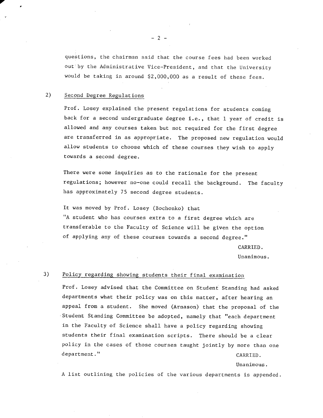questions, the chairman said that the course fees had been worked out by the Administrative Vice-President, and that the University would be taking in around \$2,000,000 as a result of these fees.

### 2) Second Degree Regulations

Prof. Losey explained the present regulations for students coming back for a second undergraduate degree i.e., that 1 year of credit is allowed and any courses taken but not required for the first degree are transferred in as appropriate. The proposed new regulation would allow students to choose which of these courses they wish to apply towards a second degree.

There were some inquiries as to the rationale for the present regulations; however no-one could recall the background. The faculty has approximately 75 second degree students.

It was moved by Prof. Losey (Bochonko) that "A student who has courses extra to a first degree which are transferable to the Faculty of Science will be given the option of applying any of these courses towards a second degree."

CARRIED.

Unanimous.

## 3) Policy regarding showing students their final examination

Prof. Losey advised that the Committee on Student Standing had asked departments what their policy was on this matter, after hearing an appeal from a student. She moved (Arnason) that the proposal of the Student Standing Committee be adopted, namely that "each department in the Faculty of Science shall have a policy regarding showing students their final examination scripts. There should be a clear policy in the cases of those courses taught jointly by more than one department." CARRIED.

Unanimous.

A list outlining the policies of the various departments is appended.

 $-2-$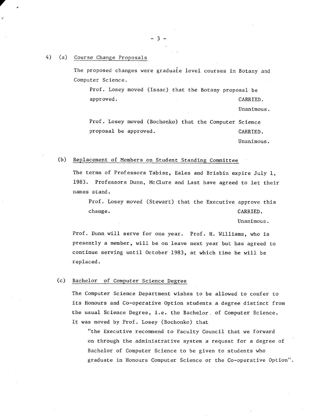#### 4) (a) Course Change Proposals

**V** 

**r** 

The proposed changes were graduate level courses in Botany and Computer Science.

Prof. Losey moved (Isaac) that the Botany proposal be approved. CARRIED.

Unanimous.

Prof. Losey moved (Bochonko) that the Computer Science proposal be approved. CARRIED.

Unanimous.

#### (b) Replacement of Members on Student Standing Committee

The terms of Professors Tabisz, Eales and Brisbin expire July 1, 1983. Professors Dunn, McClure and Last have agreed to let their names stand.

Prof. Losey moved (Stewart) that the Executive approve this change. CARRIED.

Unanimous.

Prof. Dunn will serve for one year. Prof. H. Williams, who is presently a member, will be on leave next year but has agreed to continue serving until October 1983, at which time he will be replaced.

#### (c) Bachelor of Computer Science Degree

The Computer Science Department wishes to be allowed to confer to its Honours and Co-operative Option students a degree distinct from the usual Science Degree, **i.e.** the Bachelor, of Computer Science. It was moved by Prof. Losey (Bochonko) that

"the Executive recommend to Faculty Council that we forward on through the administrative system a request for a degree of Bachelor of Computer Science to be given to students who graduate in Honours Computer Science or the Co-operative Option".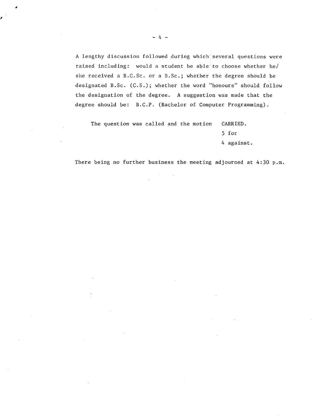A lengthy discussion followed during which'several questions were raised including: would a student be able to choose whether he/ she received a B.C.Sc. or a B.Sc.; whether the degree should be designated B.Sc. (C.S.); whether the word "honours" should follow the designation of the degree. A suggestion was made that the degree should be: B.C.P. (Bachelor of Computer Programming).

The question was called and the motion CARRIED. 5 for 4 against.

There being no further business the meeting adjourned at 4:30 p.m.

ø